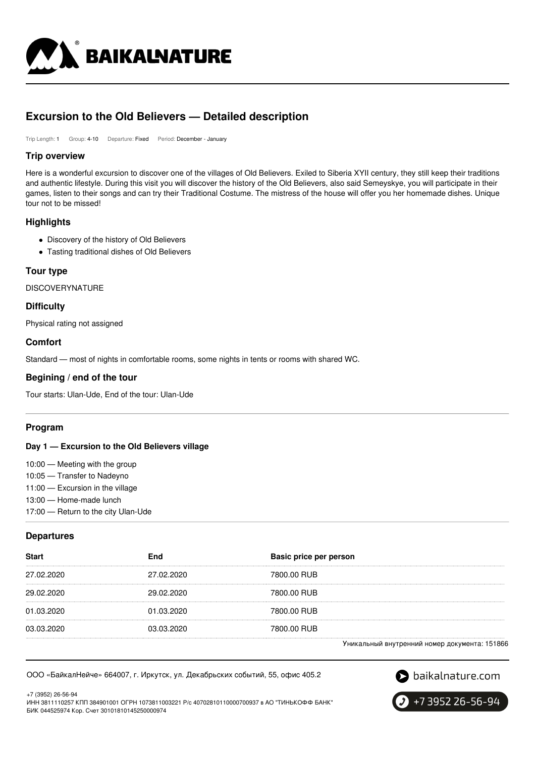

# **Excursion to the Old Believers — Detailed description**

Trip Length: 1 Group: 4-10 Departure: Fixed Period: December - January

### **Trip overview**

Here is a wonderful excursion to discover one of the villages of Old Believers. Exiled to Siberia XYII century, they still keep their traditions and authentic lifestyle. During this visit you will discover the history of the Old Believers, also said Semeyskye, you will participate in their games, listen to their songs and can try their Traditional Costume. The mistress of the house will offer you her homemade dishes. Unique tour not to be missed!

## **Highlights**

- Discovery of the history of Old Believers
- Tasting traditional dishes of Old Believers

# **Tour type**

**DISCOVERYNATURE** 

## **Difficulty**

Physical rating not assigned

## **Comfort**

Standard — most of nights in comfortable rooms, some nights in tents or rooms with shared WC.

### **Begining / end of the tour**

Tour starts: Ulan-Ude, End of the tour: Ulan-Ude

### **Program**

#### **Day 1 — Excursion to the Old Believers village**

- 10:00 Meeting with the group
- 10:05 Transfer to Nadeyno
- 11:00 Excursion in the village
- 13:00 Home-made lunch
- 17:00 Return to the city Ulan-Ude

#### **Departures**

| <b>Start</b> | End        | Basic price per person |
|--------------|------------|------------------------|
| 27.02.2020   | 27.02.2020 | 7800.00 RUB            |
| 29.02.2020   | 29.02.2020 | 7800.00 RUB            |
| 01.03.2020   | 01.03.2020 | 7800.00 RUB            |
| 03.03.2020   | 03.03.2020 | 7800.00 RUB            |
|              |            |                        |

Уникальный внутренний номер документа: 151866

ООО «БайкалНейче» 664007, г. Иркутск, ул. Декабрьских событий, 55, офис 405.2



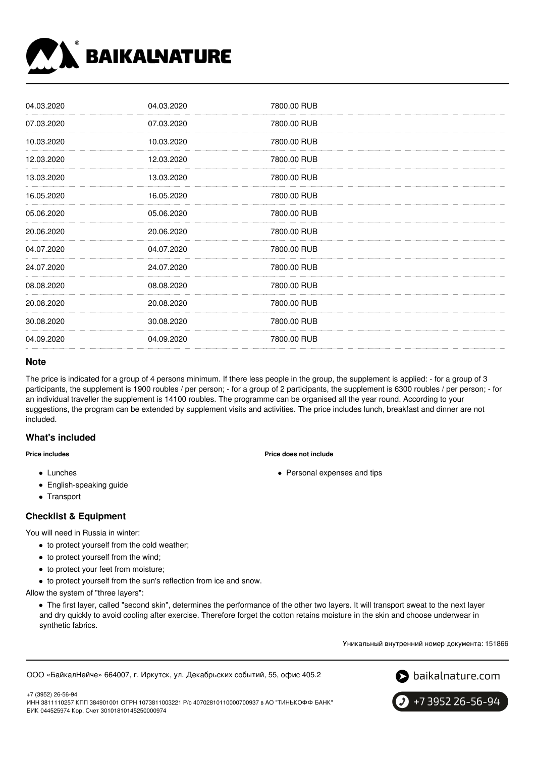

| 04.03.2020 | 04.03.2020 | 7800.00 RUB |
|------------|------------|-------------|
| 07.03.2020 | 07.03.2020 | 7800.00 RUB |
| 10.03.2020 | 10.03.2020 | 7800.00 RUB |
| 12.03.2020 | 12.03.2020 | 7800.00 RUB |
| 13.03.2020 | 13.03.2020 | 7800.00 RUB |
| 16.05.2020 | 16.05.2020 | 7800.00 RUB |
| 05.06.2020 | 05.06.2020 | 7800.00 RUB |
| 20.06.2020 | 20.06.2020 | 7800.00 RUB |
| 04.07.2020 | 04.07.2020 | 7800.00 RUB |
| 24.07.2020 | 24.07.2020 | 7800.00 RUB |
| 08.08.2020 | 08.08.2020 | 7800.00 RUB |
| 20.08.2020 | 20.08.2020 | 7800.00 RUB |
| 30.08.2020 | 30.08.2020 | 7800.00 RUB |
| 04.09.2020 | 04.09.2020 | 7800.00 RUB |
|            |            |             |

#### **Note**

The price is indicated for a group of 4 persons minimum. If there less people in the group, the supplement is applied: - for a group of 3 participants, the supplement is 1900 roubles / per person; - for a group of 2 participants, the supplement is 6300 roubles / per person; - for an individual traveller the supplement is 14100 roubles. The programme can be organised all the year round. According to your suggestions, the program can be extended by supplement visits and activities. The price includes lunch, breakfast and dinner are not included.

## **What's included**

**Price includes**

- **Price does not include**
- Personal expenses and tips
- English-speaking guide
- Transport

• Lunches

# **Checklist & Equipment**

You will need in Russia in winter:

- to protect yourself from the cold weather;
- to protect yourself from the wind;
- to protect your feet from moisture;
- to protect yourself from the sun's reflection from ice and snow.

Allow the system of "three layers":

The first layer, called "second skin", determines the performance of the other two layers. It will transport sweat to the next layer and dry quickly to avoid cooling after exercise. Therefore forget the cotton retains moisture in the skin and choose underwear in synthetic fabrics.

Уникальный внутренний номер документа: 151866

ООО «БайкалНейче» 664007, г. Иркутск, ул. Декабрьских событий, 55, офис 405.2



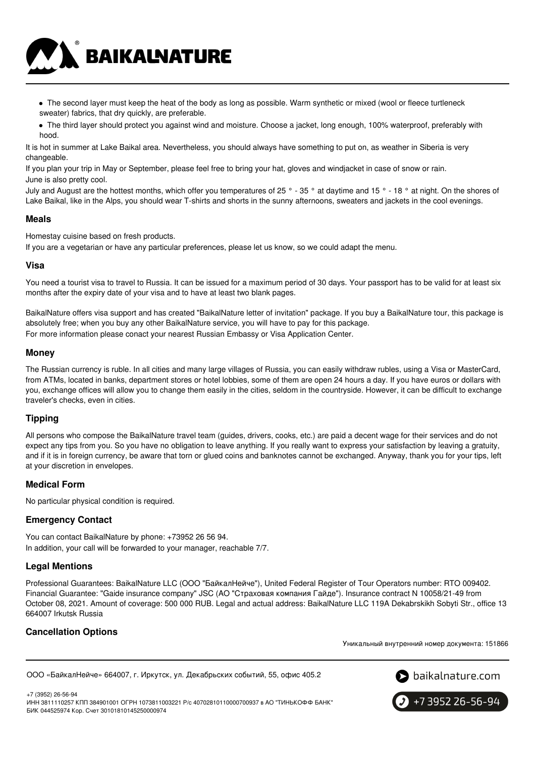

- The second layer must keep the heat of the body as long as possible. Warm synthetic or mixed (wool or fleece turtleneck sweater) fabrics, that dry quickly, are preferable.
- The third layer should protect you against wind and moisture. Choose a jacket, long enough, 100% waterproof, preferably with hood.

It is hot in summer at Lake Baikal area. Nevertheless, you should always have something to put on, as weather in Siberia is very changeable.

If you plan your trip in May or September, please feel free to bring your hat, gloves and windjacket in case of snow or rain. June is also pretty cool.

July and August are the hottest months, which offer you temperatures of 25 ° - 35 ° at daytime and 15 ° - 18 ° at night. On the shores of Lake Baikal, like in the Alps, you should wear T-shirts and shorts in the sunny afternoons, sweaters and jackets in the cool evenings.

#### **Meals**

Homestay cuisine based on fresh products.

If you are a vegetarian or have any particular preferences, please let us know, so we could adapt the menu.

#### **Visa**

You need a tourist visa to travel to Russia. It can be issued for a maximum period of 30 days. Your passport has to be valid for at least six months after the expiry date of your visa and to have at least two blank pages.

BaikalNature offers visa support and has created "BaikalNature letter of invitation" package. If you buy a BaikalNature tour, this package is absolutely free; when you buy any other BaikalNature service, you will have to pay for this package. For more information please conact your nearest Russian Embassy or Visa Application Center.

## **Money**

The Russian currency is ruble. In all cities and many large villages of Russia, you can easily withdraw rubles, using a Visa or MasterCard, from ATMs, located in banks, department stores or hotel lobbies, some of them are open 24 hours a day. If you have euros or dollars with you, exchange offices will allow you to change them easily in the cities, seldom in the countryside. However, it can be difficult to exchange traveler's checks, even in cities.

# **Tipping**

All persons who compose the BaikalNature travel team (guides, drivers, cooks, etc.) are paid a decent wage for their services and do not expect any tips from you. So you have no obligation to leave anything. If you really want to express your satisfaction by leaving a gratuity, and if it is in foreign currency, be aware that torn or glued coins and banknotes cannot be exchanged. Anyway, thank you for your tips, left at your discretion in envelopes.

# **Medical Form**

No particular physical condition is required.

# **Emergency Contact**

You can contact BaikalNature by phone: +73952 26 56 94. In addition, your call will be forwarded to your manager, reachable 7/7.

#### **Legal Mentions**

Professional Guarantees: BaikalNature LLC (ООО "БайкалНейче"), United Federal Register of Tour Operators number: RTO 009402. Financial Guarantee: "Gaide insurance company" JSC (АО "Страховая компания Гайде"). Insurance contract N 10058/21-49 from October 08, 2021. Amount of coverage: 500 000 RUB. Legal and actual address: BaikalNature LLC 119А Dekabrskikh Sobyti Str., office 13 664007 Irkutsk Russia

# **Cancellation Options**

Уникальный внутренний номер документа: 151866

ООО «БайкалНейче» 664007, г. Иркутск, ул. Декабрьских событий, 55, офис 405.2